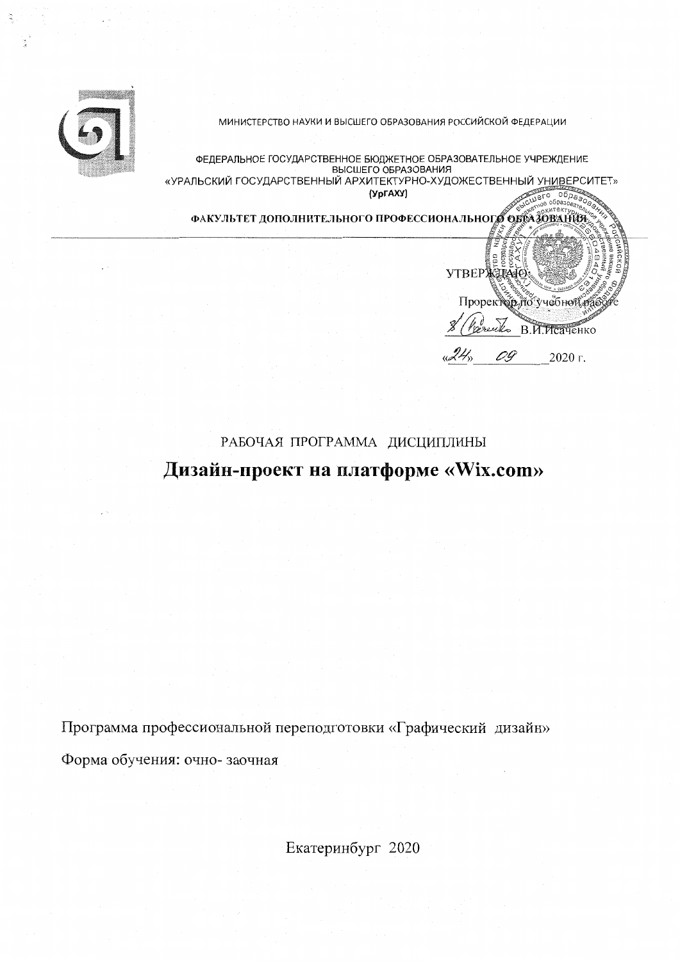

МИНИСТЕРСТВО НАУКИ И ВЫСШЕГО ОБРАЗОВАНИЯ РОССИЙСКОЙ ФЕДЕРАЦИИ

ФЕДЕРАЛЬНОЕ ГОСУДАРСТВЕННОЕ БЮДЖЕТНОЕ ОБРАЗОВАТЕЛЬНОЕ УЧРЕЖДЕНИЕ «УРАЛЬСКИЙ ГОСУДАРСТВЕННЫЙ АРХИТЕКТУРНО-ХУДОЖЕСТВЕННЫЙ УНИВЕРСИТЕТ» (УрГАХУ)

ФАКУЛЬТЕТ ДОПОЛНИТЕЛЬНОГО ПРОФЕССИОНАЛЬНОГО ОБРАЗОВАНИЯ

VTBEPXZE40 Проректор по учебной оз B.M. MCayeHKO 2020 г. 0.9

# РАБОЧАЯ ПРОГРАММА ДИСЦИПЛИНЫ Дизайн-проект на платформе «Wix.com»

Программа профессиональной переподготовки «Графический дизайн» Форма обучения: очно-заочная

Екатеринбург 2020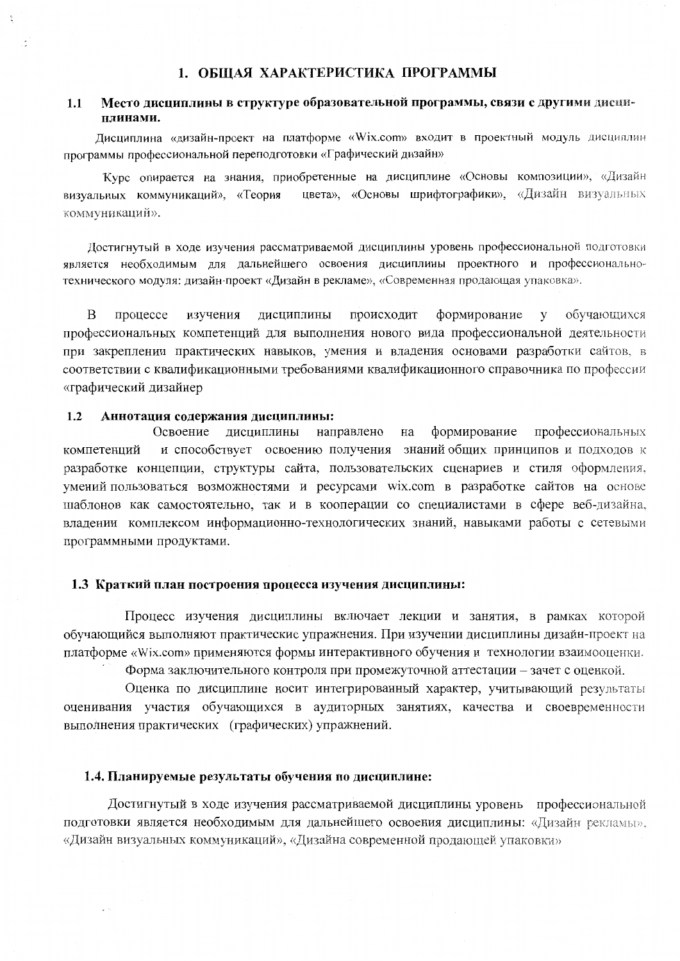#### Место лиспиплины в структуре образовательной программы, связи с другими дисци- $1.1$ плинами.

Лисциплина «дизайн-проект на платформе «Wix.com» входит в проектный модуль дисциплин программы профессиональной перенодготовки «Графический дизайн»

Курс опирается на знания, приобретенные на дисциплине «Основы композиции», «Дизайн цвета», «Основы шрифтографики», «Дизайн визуальных визуальных коммуникаций», «Теория коммуникаций».

Достигнутый в ходе изучения рассматриваемой дисциплины уровень профессиональной подготовки является необходимым для дальнейшего освоения дисциплины проектного и профессиональнотехнического модуля: дизайн-проект «Дизайн в рекламе», «Современная продающая упаковка».

 $\overline{B}$ процессе изучения лисциплины происходит формирование  $\overline{\mathbf{V}}$ обучающихся профессиональных компетенций для выполнения нового вида профессиональной деятельности при закреплении практических навыков, умения и владения основами разработки сайтов, в соответствии с квалификационными требованиями квалификационного справочника по профессии «графический дизайнер

#### $1.2$ Аннотация содержания дисциплины:

профессиональных Освоение дисциплины направлено на формирование компетенций и способствует освоению получения знаний общих принципов и подходов к разработке концепции, структуры сайта, пользовательских сценариев и стиля оформления, умений пользоваться возможностями и ресурсами wix.com в разработке сайтов на основе шаблонов как самостоятельно, так и в кооперации со специалистами в сфере веб-дизайна, владении комплексом информационно-технологических знаний, навыками работы с сетевыми программными продуктами.

#### 1.3 Краткий план построения процесса изучения дисциплины:

Процесс изучения дисциплины включает лекции и занятия, в рамках которой обучающийся выполняют практические упражнения. При изучении дисциплины дизайн-проект на платформе «Wix.com» применяются формы интерактивного обучения и технологии взаимооценки.

Форма заключительного контроля при промежуточной аттестации - зачет с оценкой.

Оценка по дисциплине носит интегрированный характер, учитывающий результаты оценивания участия обучающихся в аудиторных занятиях, качества и своевременности выполнения практических (графических) упражнений.

#### 1.4. Планируемые результаты обучения по дисциплине:

Достигнутый в ходе изучения рассматриваемой дисциплины уровень профессиональной подготовки является необходимым для дальнейшего освоения дисциплины: «Дизайн рекламы». «Дизайн визуальных коммуникаций», «Дизайна современной продающей упаковки»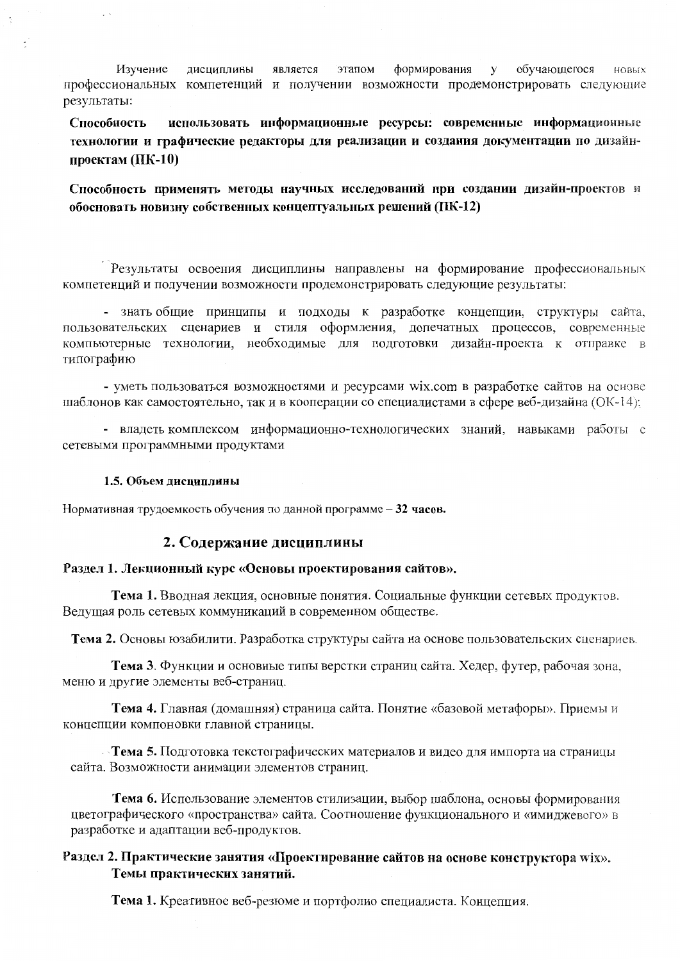Изучение дисциплины является этапом формирования  $\mathbf{y}$ обучающегося НОВЫХ профессиональных компетенций и получении возможности продемонстрировать следующие результаты:

использовать информационные ресурсы: современные информационные Способность технологии и графические редакторы для реализации и создания документации по дизайнпроектам  $(IIK-10)$ 

Способность применять методы научных исследований при создании дизайн-проектов и обосновать новизну собственных концептуальных решений (ПК-12)

Результаты освоения дисциплины направлены на формирование профессиональных компетенций и получении возможности продемонстрировать следующие результаты:

- знать общие принципы и подходы к разработке концепции, структуры сайта, пользовательских сценариев и стиля оформления, допечатных процессов, современные компьютерные технологии, необходимые для подготовки дизайн-проекта к отправке в типографию

- уметь пользоваться возможностями и ресурсами wix.com в разработке сайтов на основе шаблонов как самостоятельно, так и в кооперации со специалистами в сфере веб-дизайна (ОК-14);

- владеть комплексом информационно-технологических знаний, навыками работы с сетевыми программными продуктами

### 1.5. Объем диспиплины

Нормативная трудоемкость обучения по данной программе - 32 часов.

## 2. Содержание дисциплины

### Раздел 1. Лекционный курс «Основы проектирования сайтов».

Тема 1. Вводная лекция, основные понятия. Социальные функции сетевых продуктов. Ведущая роль сетевых коммуникаций в современном обществе.

Тема 2. Основы юзабилити. Разработка структуры сайта на основе пользовательских сценариев.

Тема 3. Функции и основные типы верстки страниц сайта. Хедер, футер, рабочая зона, меню и другие элементы веб-страниц.

Тема 4. Главная (домашняя) страница сайта. Понятие «базовой метафоры». Приемы и концепции компоновки главной страницы.

- Тема 5. Подготовка текстографических материалов и видео для импорта на страницы сайта. Возможности анимации элементов страниц.

Тема 6. Использование элементов стилизации, выбор шаблона, основы формирования цветографического «пространства» сайта. Соотношение функционального и «имиджевого» в разработке и адаптации веб-продуктов.

# Раздел 2. Практические занятия «Проектирование сайтов на основе конструктора wix». Темы практических занятий.

Тема 1. Креативное веб-резюме и портфолио специалиста. Концепция.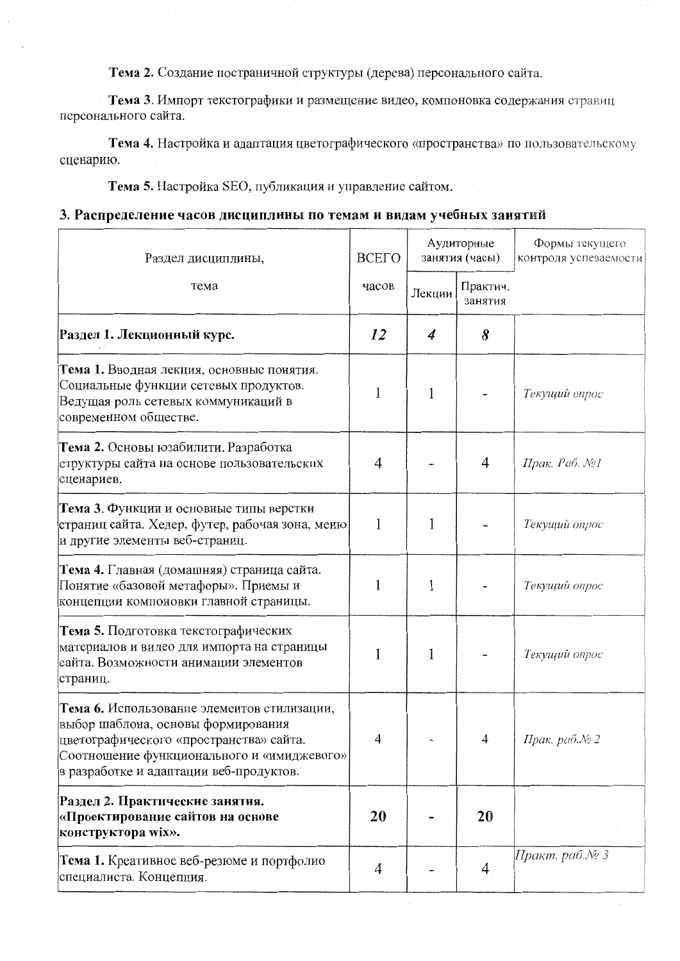Тема 2. Создание постраничной структуры (дерева) персонального сайта.

• Тема 3. Импорт текстографики и размещение видео, компоновка содержания страниц персонального сайта.

Тема 4. Настройка и адаптация цветографического «пространства» по пользовательскому сценарию.

Тема 5. Настройка SEO, публикация и управление сайтом.

# 3. Распределение часов дисциплины по темам и видам учебных занятий

| Раздел дисциплины,                                                                                                                                                                                                    | <b>BCETO</b> | Аудиторные<br>занятия (часы) |                     | Формы текущего<br>контроля успеваемости |
|-----------------------------------------------------------------------------------------------------------------------------------------------------------------------------------------------------------------------|--------------|------------------------------|---------------------|-----------------------------------------|
| тема                                                                                                                                                                                                                  | часов        | Лекции                       | Практич.<br>занятия |                                         |
| Раздел 1. Лекционный курс.                                                                                                                                                                                            | 12           | 4                            | 8                   |                                         |
| Тема 1. Вводная лекция, основные понятия.<br>Социальные функции сетевых продуктов.<br>Ведущая роль сетевых коммуникаций в<br>современном обществе.                                                                    | 1            | 1                            |                     | Текущий опрос                           |
| Тема 2. Основы юзабилити. Разработка<br>структуры сайта на основе пользовательских<br>сценариев.                                                                                                                      | 4            |                              | $\overline{4}$      | Прак. Раб. №1                           |
| Тема 3. Функции и основные типы верстки<br>страниц сайта. Хедер, футер, рабочая зона, меню<br>и другие элементы веб-страниц.                                                                                          | 1            | 1                            |                     | Текущий опрос                           |
| Тема 4. Главная (домашняя) страница сайта.<br>Понятие «базовой метафоры». Приемы и<br>концепции компоновки главной страницы.                                                                                          | 1            | 1                            |                     | Текущий опрос                           |
| Тема 5. Подготовка текстографических<br>материалов и видео для импорта на страницы<br>сайта. Возможности анимации элементов<br>страниц.                                                                               | 1            | 1                            |                     | Текущий опрос                           |
| Тема 6. Использование элементов стилизации,<br>выбор шаблона, основы формирования<br>цветографического «пространства» сайта.<br>Соотношение функционального и «имиджевого»<br>в разработке и адаптации веб-продуктов. | 4            |                              | 4                   | Прак. раб.№ 2                           |
| Раздел 2. Практические занятия.<br>«Проектирование сайтов на основе<br>конструктора wix».                                                                                                                             | 20           |                              | 20                  |                                         |
| Тема 1. Креативное веб-резюме и портфолио<br>специалиста. Концепция.                                                                                                                                                  | 4            |                              | 4                   | ∏ракт. раб.№ 3                          |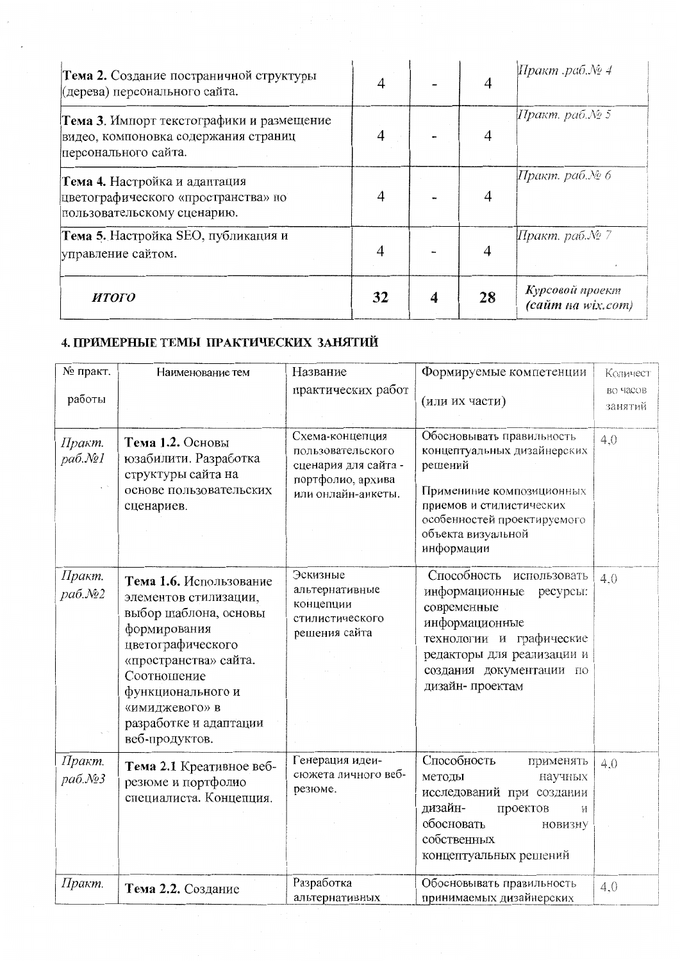| Тема 2. Создание постраничной структуры<br>(дерева) персонального сайта.                                  | 4  | 4  | ∏ракт .раб.№ 4                       |
|-----------------------------------------------------------------------------------------------------------|----|----|--------------------------------------|
| Тема 3. Импорт текстографики и размещение<br>видео, компоновка содержания страниц<br>персонального сайта. |    |    | Иракт. раб.№ 5                       |
| Тема 4. Настройка и адаптация<br>цветографического «пространства» по<br>пользовательскому сценарию.       | 4  | 4  | ∏ракт. раб.№ 6                       |
| Тема 5. Настройка SEO, публикация и<br>управление сайтом.                                                 | 4  |    | ∏ракт. раб.№ 7                       |
| <b>HTOFO</b>                                                                                              | 32 | 28 | Курсовой проект<br>(сайт на wix.com) |

# 4. ПРИМЕРНЫЕ ТЕМЫ ПРАКТИЧЕСКИХ ЗАНЯТИЙ

| № практ.          | Наименование тем                                                                                                                                                                                                                          | Название                                                                                                | Формируемые компетенции                                                                                                                                                                          | Количест            |
|-------------------|-------------------------------------------------------------------------------------------------------------------------------------------------------------------------------------------------------------------------------------------|---------------------------------------------------------------------------------------------------------|--------------------------------------------------------------------------------------------------------------------------------------------------------------------------------------------------|---------------------|
| работы            |                                                                                                                                                                                                                                           | практических работ                                                                                      | (или их части)                                                                                                                                                                                   | во часов<br>занятий |
| Практ.<br>pa6.N21 | Тема 1.2. Основы<br>юзабилити. Разработка<br>структуры сайта на<br>основе пользовательских<br>сценариев.                                                                                                                                  | Схема-концепция<br>пользовательского<br>сценария для сайта -<br>портфолио, архива<br>или онлайн-анкеты. | Обосновывать правильность<br>концептуальных дизайнерских<br>решений<br>Примениние композиционных<br>приемов и стилистических<br>особенностей проектируемого<br>объекта визуальной<br>информации  | 4,0                 |
| Практ.<br>раб.№2  | Тема 1.6. Использование<br>элементов стилизации,<br>выбор шаблона, основы<br>формирования<br>цветографического<br>«пространства» сайта.<br>Соотношение<br>функционального и<br>«имиджевого» в<br>разработке и адаптации<br>веб-продуктов. | Эскизные<br>альтернативные<br>концепции<br>стилистического<br>решения сайта                             | Способность использовать<br>информационные<br>ресурсы:<br>современные<br>информационные<br>технологии и графические<br>редакторы для реализации и<br>создания документации по<br>дизайн-проектам | 4.0                 |
| Практ.<br>pa6.No3 | Тема 2.1 Креативное веб-<br>резюме и портфолио<br>специалиста. Концепция.                                                                                                                                                                 | Генерация идеи-<br>сюжета личного веб-<br>резюме.                                                       | Способность<br>применять<br>методы<br>научных<br>исследований при создании<br>дизайн-<br>проектов<br>И<br>обосновать<br>новизну<br>собственных<br>концептуальных решений                         | 4.0                 |
| Практ.            | Тема 2.2. Создание                                                                                                                                                                                                                        | Разработка<br>альтернативных                                                                            | Обосновывать правильность<br>принимаемых дизайнерских                                                                                                                                            | 4,0                 |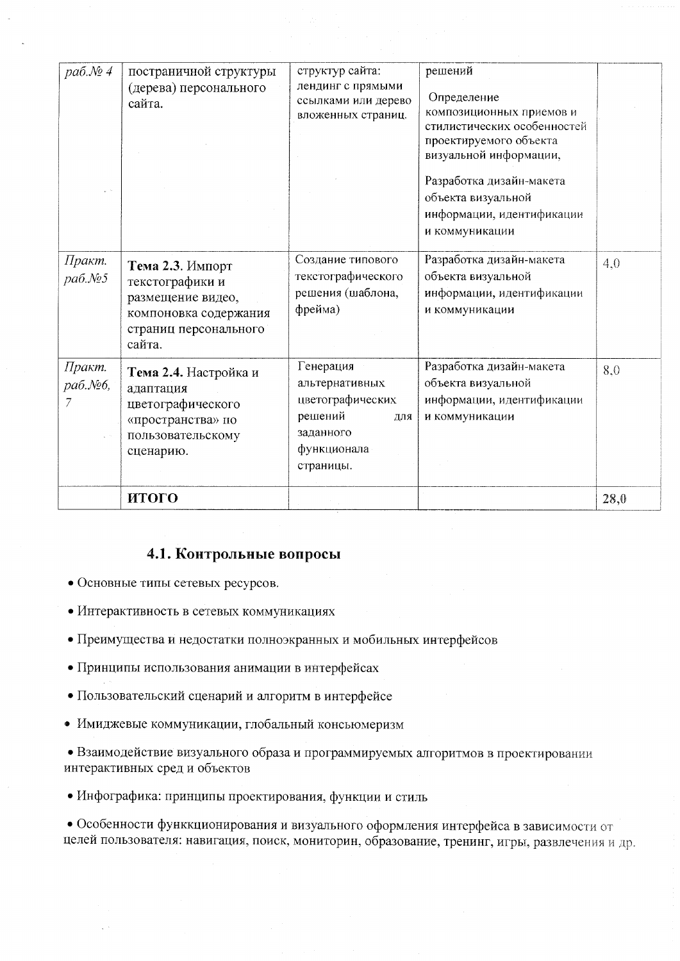| раб.№4            | постраничной структуры<br>(дерева) персонального<br>сайта.                                                           | структур сайта:<br>лендинг с прямыми<br>ссылками или дерево<br>вложенных страниц.                          | решений<br>Определение<br>композиционных приемов и<br>стилистических особенностей<br>проектируемого объекта<br>визуальной информации,<br>Разработка дизайн-макета<br>объекта визуальной<br>информации, идентификации<br>и коммуникации |      |
|-------------------|----------------------------------------------------------------------------------------------------------------------|------------------------------------------------------------------------------------------------------------|----------------------------------------------------------------------------------------------------------------------------------------------------------------------------------------------------------------------------------------|------|
| Практ.<br>pa6.No5 | Тема 2.3. Импорт<br>текстографики и<br>размещение видео,<br>компоновка содержания<br>страниц персонального<br>сайта. | Создание типового<br>текстографического<br>решения (шаблона,<br>фрейма)                                    | Разработка дизайн-макета<br>объекта визуальной<br>информации, идентификации<br>и коммуникации                                                                                                                                          | 4,0  |
| Практ.<br>раб.№6, | Тема 2.4. Настройка и<br>адаптация<br>цветографического<br>«пространства» по<br>пользовательскому<br>сценарию.       | Генерация<br>альтернативных<br>цветографических<br>решений<br>для<br>заданного<br>функционала<br>страницы. | Разработка дизайн-макета<br>объекта визуальной<br>информации, идентификации<br>и коммуникации                                                                                                                                          | 8,0  |
|                   | итого                                                                                                                |                                                                                                            |                                                                                                                                                                                                                                        | 28,0 |

# 4.1. Контрольные вопросы

- Основные типы сетевых ресурсов.
- Интерактивность в сетевых коммуникациях
- Преимущества и недостатки полноэкранных и мобильных интерфейсов
- Принципы использования анимации в интерфейсах
- Пользовательский сценарий и алгоритм в интерфейсе
- Имиджевые коммуникации, глобальный консьюмеризм

• Взаимодействие визуального образа и программируемых алгоритмов в проектировании интерактивных сред и объектов

• Инфографика: принципы проектирования, функции и стиль

• Особенности функкционирования и визуального оформления интерфейса в зависимости от целей пользователя: навигация, поиск, мониторин, образование, тренинг, игры, развлечения и др.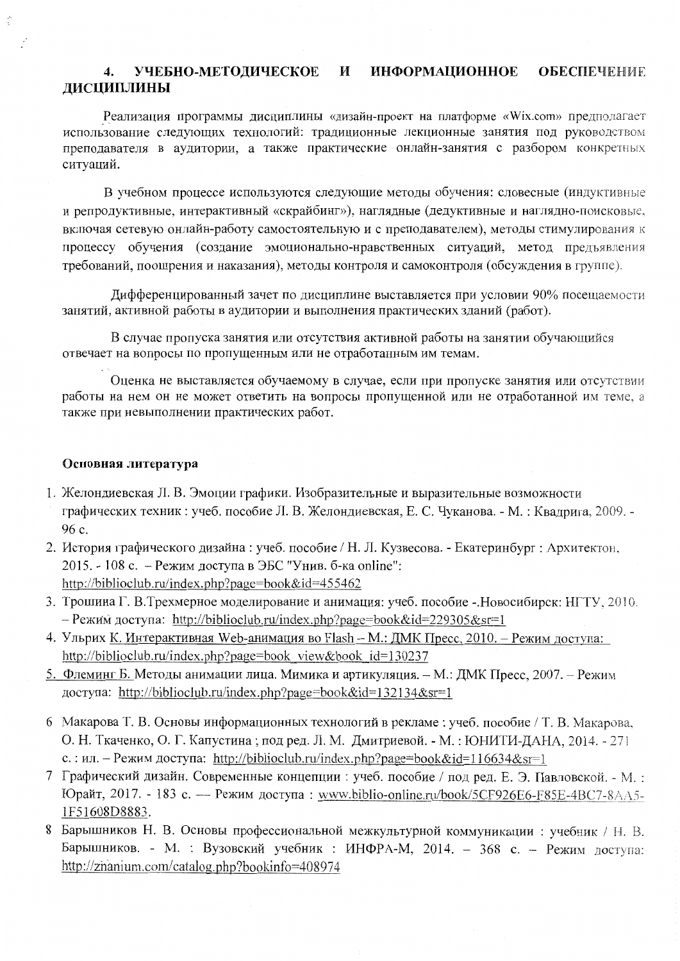#### УЧЕБНО-МЕТОДИЧЕСКОЕ **ИНФОРМАЦИОННОЕ** И **ОБЕСПЕЧЕНИЕ**  $\overline{4}$ . ДИСЦИПЛИНЫ

Реализация программы дисциплины «дизайн-проект на платформе «Wix.com» предполагает использование следующих технологий: традиционные лекционные занятия под руководством преподавателя в аудитории, а также практические онлайн-занятия с разбором конкретных ситуаций.

В учебном процессе используются следующие методы обучения: словесные (индуктивные и репродуктивные, интерактивный «скрайбинг»), наглядные (дедуктивные и наглядно-поисковые, включая сетевую онлайн-работу самостоятельную и с преподавателем), методы стимулирования к процессу обучения (создание эмоционально-нравственных ситуаций, метод предъявления требований, поощрения и наказания), методы контроля и самоконтроля (обсуждения в группе).

Дифференцированный зачет по дисциплине выставляется при условии 90% посещаемости занятий, активной работы в аудитории и выполнения практических зданий (работ).

В случае пропуска занятия или отсутствия активной работы на занятии обучающийся отвечает на вопросы по пропущенным или не отработанным им темам.

Оценка не выставляется обучаемому в случае, если при пропуске занятия или отсутствии работы на нем он не может ответить на вопросы пропущенной или не отработанной им теме, а также при невыполнении практических работ.

### Основная литература

- 1. Желондиевская Л. В. Эмоции графики. Изобразительные и выразительные возможности графических техник: учеб. пособие Л. В. Желондиевская, Е. С. Чуканова. - М.: Квадрига, 2009. - $96c$
- 2. История графического дизайна : учеб. пособие / Н. Л. Кузвесова. Екатеринбург : Архитектон, 2015. - 108 с. - Режим доступа в ЭБС "Унив. б-ка online": http://biblioclub.ru/index.php?page=book&id=455462
- 3. Трошина Г. В.Трехмерное моделирование и анимация: учеб. пособие -. Новосибирск: НГТУ, 2010. - Режим доступа: http://biblioclub.ru/index.php?page=book&id=229305&sr=1
- 4. Ульрих К. Интерактивная Web-анимация во Flash М.: ДМК Пресс, 2010. Режим доступа: http://biblioclub.ru/index.php?page=book view&book id=130237
- 5. Флеминг Б. Методы анимации лица. Мимика и артикуляция. М.: ДМК Пресс, 2007. Режим доступа: http://biblioclub.ru/index.php?page=book&id=132134&sr=1
- 6 Макарова Т. В. Основы информационных технологий в рекламе: учеб. пособие / Т. В. Макарова, О. Н. Ткаченко, О. Г. Капустина; под ред. Л. М. Дмитриевой. - М.: ЮНИТИ-ДАНА, 2014. - 271 с.: ил. – Режим доступа: http://biblioclub.ru/index.php?page=book&id=116634&sr=1
- 7 Графический дизайн. Современные концепции: учеб. пособие / под ред. Е. Э. Павловской. М.: Юрайт, 2017. - 183 с. — Режим доступа: www.biblio-online.ru/book/5CF926E6-F85E-4BC7-8AA5-1F51608D8883.
- 8 Барышников Н. В. Основы профессиональной межкультурной коммуникации: учебник / Н. В. Барышников. - М. : Вузовский учебник : ИНФРА-М, 2014. - 368 с. - Режим доступа: http://znanium.com/catalog.php?bookinfo=408974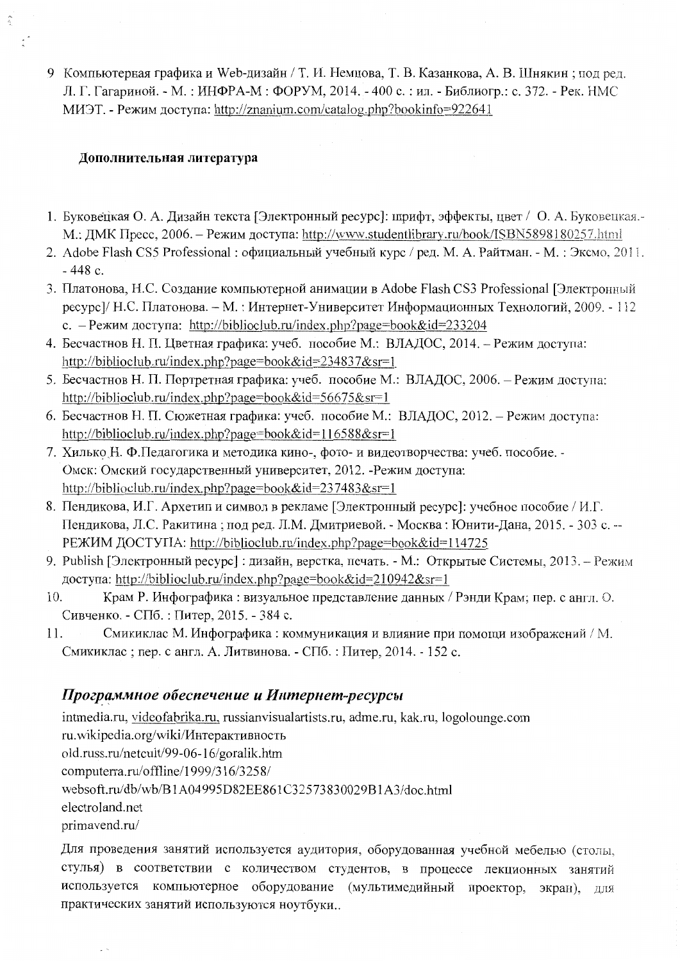9 Компьютерная графика и Web-дизайн / Т. И. Немцова, Т. В. Казанкова, А. В. Шнякин; под ред. Л. Г. Гагариной. - М.: ИНФРА-М: ФОРУМ, 2014. - 400 с.: ил. - Библиогр.: с. 372. - Рек. НМС МИЭТ. - Режим лоступа: http://znanium.com/catalog.php?bookinfo=922641

# Дополнительная литература

Â

 $\mathbb{I}^*$ 

- 1. Буковецкая О. А. Дизайн текста [Электронный ресурс]: шрифт, эффекты, цвет / О. А. Буковецкая.-М.: ДМК Пресс, 2006. – Режим доступа: http://www.studentlibrary.ru/book/ISBN5898180257.html
- 2. Adobe Flash CS5 Professional: официальный учебный курс / ред. М. А. Райтман. М.: Эксмо, 2011.  $-448c$ .
- 3. Платонова, Н.С. Создание компьютерной анимации в Adobe Flash CS3 Professional [Электронный ресурс]/ Н.С. Платонова. - М.: Интернет-Университет Информационных Технологий, 2009. - 112 с. – Режим доступа: http://biblioclub.ru/index.php?page=book&id=233204
- 4. Бесчастнов Н. П. Цветная графика: учеб. пособие М.: ВЛАДОС, 2014. Режим доступа: http://biblioclub.ru/index.php?page=book&id=234837&sr=1
- 5. Бесчастнов Н. П. Портретная графика: учеб. пособие М.: ВЛАДОС, 2006. Режим доступа: http://biblioclub.ru/index.php?page=book&id=56675&sr=1
- 6. Бесчастнов Н. П. Сюжетная графика: учеб. пособие М.: ВЛАДОС, 2012. Режим доступа: http://biblioclub.ru/index.php?page=book&id=116588&sr=1
- 7. Хилько Н. Ф.Педагогика и методика кино-, фото- и видеотворчества: учеб. пособие. -Омск: Омский государственный университет, 2012. - Режим доступа: http://biblioclub.ru/index.php?page=book&id=237483&sr=1
- 8. Пендикова, И.Г. Архетип и символ в рекламе [Электронный ресурс]: учебное пособие / И.Г. Пендикова, Л.С. Ракитина; под ред. Л.М. Дмитриевой. - Москва: Юнити-Дана, 2015. - 303 с. --РЕЖИМ ДОСТУПА: http://biblioclub.ru/index.php?page=book&id=114725
- 9. Publish [Электронный ресурс] : дизайн, верстка, печать. М.: Открытые Системы, 2013. Режим доступа: http://biblioclub.ru/index.php?page=book&id=210942&sr=1
- 10. Крам Р. Инфографика: визуальное представление данных / Рэнди Крам; пер. с англ. О. Сивченко. - СПб. : Питер, 2015. - 384 с.
- $11.$ Смикиклас М. Инфографика: коммуникация и влияние при помощи изображений / М. Смикиклас; пер. с англ. А. Литвинова. - СПб. : Питер, 2014. - 152 с.

# Программное обеспечение и Интернет-ресурсы

 $\sim$ 

intmedia.ru, videofabrika.ru, russianvisualartists.ru, adme.ru, kak.ru, logolounge.com ru.wikipedia.org/wiki/Интерактивность old.russ.ru/netcult/99-06-16/goralik.htm computerra.ru/offline/1999/316/3258/ websoft.ru/db/wb/B1A04995D82EE861C32573830029B1A3/doc.html electroland.net primavend.ru/

Для проведения занятий используется аудитория, оборудованная учебной мебелью (столы, стулья) в соответствии с количеством студентов, в процессе лекционных занятий используется компьютерное оборудование (мультимедийный проектор, экран). лля практических занятий используются ноутбуки..